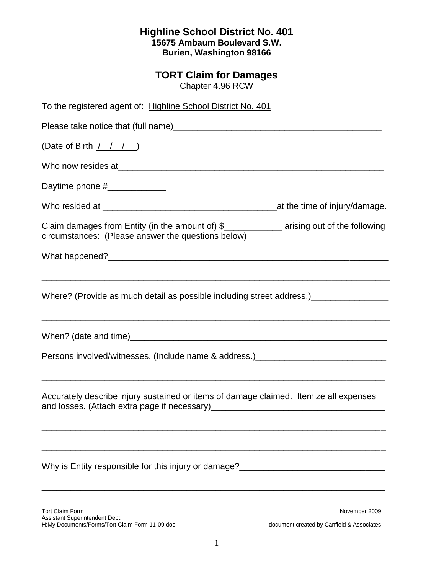## **Highline School District No. 401 15675 Ambaum Boulevard S.W. Burien, Washington 98166**

## **TORT Claim for Damages**

Chapter 4.96 RCW

| To the registered agent of: Highline School District No. 401                                                                                      |  |  |
|---------------------------------------------------------------------------------------------------------------------------------------------------|--|--|
|                                                                                                                                                   |  |  |
| (Date of Birth $\frac{1}{1}$ $\frac{1}{1}$ )                                                                                                      |  |  |
|                                                                                                                                                   |  |  |
| Daytime phone #_______________                                                                                                                    |  |  |
|                                                                                                                                                   |  |  |
| Claim damages from Entity (in the amount of) \$_______________ arising out of the following<br>circumstances: (Please answer the questions below) |  |  |
|                                                                                                                                                   |  |  |
| Where? (Provide as much detail as possible including street address.)__________________                                                           |  |  |
|                                                                                                                                                   |  |  |
| Persons involved/witnesses. (Include name & address.) __________________________                                                                  |  |  |
| Accurately describe injury sustained or items of damage claimed. Itemize all expenses                                                             |  |  |
| Why is Entity responsible for this injury or damage?____________________________                                                                  |  |  |

Tort Claim Form November 2009 Assistant Superintendent Dept. H:My Documents/Forms/Tort Claim Form 11-09.doc document created by Canfield & Associates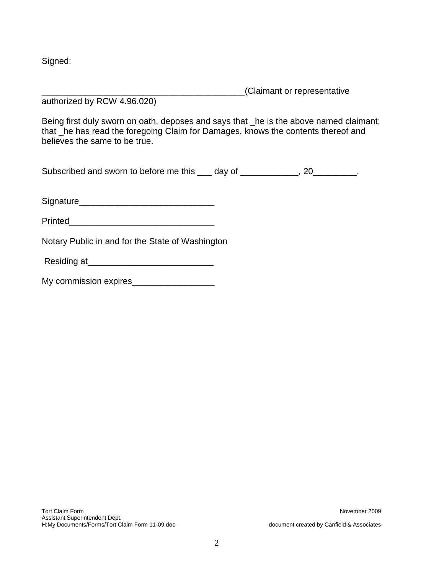Signed:

\_\_\_\_\_\_\_\_\_\_\_\_\_\_\_\_\_\_\_\_\_\_\_\_\_\_\_\_\_\_\_\_\_\_\_\_\_\_\_\_\_\_(Claimant or representative authorized by RCW 4.96.020)

Being first duly sworn on oath, deposes and says that \_he is the above named claimant; that \_he has read the foregoing Claim for Damages, knows the contents thereof and believes the same to be true.

Subscribed and sworn to before me this \_\_\_ day of \_\_\_\_\_\_\_\_\_\_\_, 20\_\_\_\_\_\_\_\_\_.

Signature\_\_\_\_\_\_\_\_\_\_\_\_\_\_\_\_\_\_\_\_\_\_\_\_\_\_\_\_

Printed\_\_\_\_\_\_\_\_\_\_\_\_\_\_\_\_\_\_\_\_\_\_\_\_\_\_\_\_\_\_

Notary Public in and for the State of Washington

Residing at\_\_\_\_\_\_\_\_\_\_\_\_\_\_\_\_\_\_\_\_\_\_\_\_\_\_

|  | My commission expires |  |
|--|-----------------------|--|
|--|-----------------------|--|